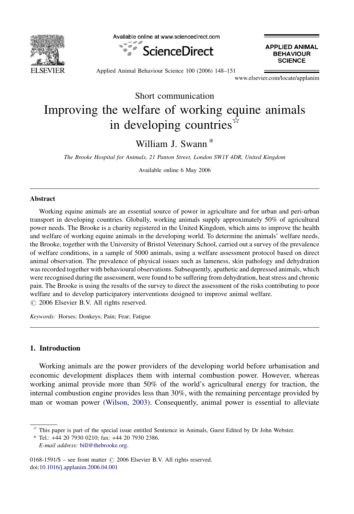

Available online at www.sciencedirect.com



**APPLIED ANIMAL BEHAVIOUR SCIENCE** 

Applied Animal Behaviour Science 100 (2006) 148–151

www.elsevier.com/locate/applanim

Short communication

# Improving the welfare of working equine animals in developing countries $\vec{r}$

William J. Swann \*

The Brooke Hospital for Animals, 21 Panton Street, London SW1Y 4DR, United Kingdom

Available online 6 May 2006

#### Abstract

Working equine animals are an essential source of power in agriculture and for urban and peri-urban transport in developing countries. Globally, working animals supply approximately 50% of agricultural power needs. The Brooke is a charity registered in the United Kingdom, which aims to improve the health and welfare of working equine animals in the developing world. To determine the animals' welfare needs, the Brooke, together with the University of Bristol Veterinary School, carried out a survey of the prevalence of welfare conditions, in a sample of 5000 animals, using a welfare assessment protocol based on direct animal observation. The prevalence of physical issues such as lameness, skin pathology and dehydration was recorded together with behavioural observations. Subsequently, apathetic and depressed animals, which were recognised during the assessment, were found to be suffering from dehydration, heat stress and chronic pain. The Brooke is using the results of the survey to direct the assessment of the risks contributing to poor welfare and to develop participatory interventions designed to improve animal welfare.  $\circ$  2006 Elsevier B.V. All rights reserved.

Keywords: Horses; Donkeys; Pain; Fear; Fatigue

## 1. Introduction

Working animals are the power providers of the developing world before urbanisation and economic development displaces them with internal combustion power. However, whereas working animal provide more than 50% of the world's agricultural energy for traction, the internal combustion engine provides less than 30%, with the remaining percentage provided by man or woman power ([Wilson, 2003\)](#page-3-0). Consequently, animal power is essential to alleviate

 $\hat{\tau}$  This paper is part of the special issue entitled Sentience in Animals, Guest Edited by Dr John Webster.

<sup>\*</sup> Tel.: +44 20 7930 0210; fax: +44 20 7930 2386. E-mail address: [bill@thebrooke.org](mailto:bill@thebrooke.org).

 $0168-1591/\$$  – see front matter  $\odot$  2006 Elsevier B.V. All rights reserved. doi[:10.1016/j.applanim.2006.04.001](http://dx.doi.org/10.1016/j.applanim.2006.04.001)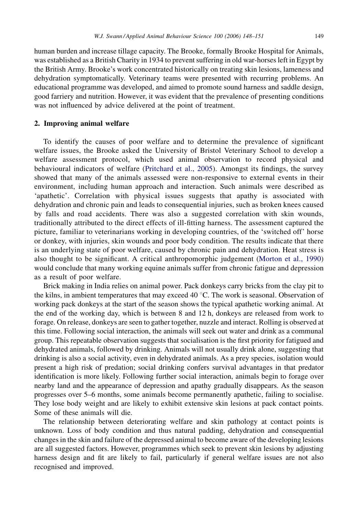human burden and increase tillage capacity. The Brooke, formally Brooke Hospital for Animals, was established as a British Charity in 1934 to prevent suffering in old war-horses left in Egypt by the British Army. Brooke's work concentrated historically on treating skin lesions, lameness and dehydration symptomatically. Veterinary teams were presented with recurring problems. An educational programme was developed, and aimed to promote sound harness and saddle design, good farriery and nutrition. However, it was evident that the prevalence of presenting conditions was not influenced by advice delivered at the point of treatment.

## 2. Improving animal welfare

To identify the causes of poor welfare and to determine the prevalence of significant welfare issues, the Brooke asked the University of Bristol Veterinary School to develop a welfare assessment protocol, which used animal observation to record physical and behavioural indicators of welfare ([Pritchard et al., 2005](#page-3-0)). Amongst its findings, the survey showed that many of the animals assessed were non-responsive to external events in their environment, including human approach and interaction. Such animals were described as 'apathetic'. Correlation with physical issues suggests that apathy is associated with dehydration and chronic pain and leads to consequential injuries, such as broken knees caused by falls and road accidents. There was also a suggested correlation with skin wounds, traditionally attributed to the direct effects of ill-fitting harness. The assessment captured the picture, familiar to veterinarians working in developing countries, of the 'switched off' horse or donkey, with injuries, skin wounds and poor body condition. The results indicate that there is an underlying state of poor welfare, caused by chronic pain and dehydration. Heat stress is also thought to be significant. A critical anthropomorphic judgement [\(Morton et al., 1990\)](#page-3-0) would conclude that many working equine animals suffer from chronic fatigue and depression as a result of poor welfare.

Brick making in India relies on animal power. Pack donkeys carry bricks from the clay pit to the kilns, in ambient temperatures that may exceed 40 °C. The work is seasonal. Observation of working pack donkeys at the start of the season shows the typical apathetic working animal. At the end of the working day, which is between 8 and 12 h, donkeys are released from work to forage. On release, donkeys are seen to gather together, nuzzle and interact. Rolling is observed at this time. Following social interaction, the animals will seek out water and drink as a communal group. This repeatable observation suggests that socialisation is the first priority for fatigued and dehydrated animals, followed by drinking. Animals will not usually drink alone, suggesting that drinking is also a social activity, even in dehydrated animals. As a prey species, isolation would present a high risk of predation; social drinking confers survival advantages in that predator identification is more likely. Following further social interaction, animals begin to forage over nearby land and the appearance of depression and apathy gradually disappears. As the season progresses over 5–6 months, some animals become permanently apathetic, failing to socialise. They lose body weight and are likely to exhibit extensive skin lesions at pack contact points. Some of these animals will die.

The relationship between deteriorating welfare and skin pathology at contact points is unknown. Loss of body condition and thus natural padding, dehydration and consequential changes in the skin and failure of the depressed animal to become aware of the developing lesions are all suggested factors. However, programmes which seek to prevent skin lesions by adjusting harness design and fit are likely to fail, particularly if general welfare issues are not also recognised and improved.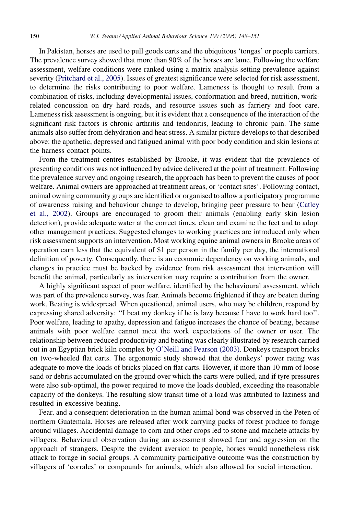In Pakistan, horses are used to pull goods carts and the ubiquitous 'tongas' or people carriers. The prevalence survey showed that more than 90% of the horses are lame. Following the welfare assessment, welfare conditions were ranked using a matrix analysis setting prevalence against severity ([Pritchard et al., 2005\)](#page-3-0). Issues of greatest significance were selected for risk assessment, to determine the risks contributing to poor welfare. Lameness is thought to result from a combination of risks, including developmental issues, conformation and breed, nutrition, workrelated concussion on dry hard roads, and resource issues such as farriery and foot care. Lameness risk assessment is ongoing, but it is evident that a consequence of the interaction of the significant risk factors is chronic arthritis and tendonitis, leading to chronic pain. The same animals also suffer from dehydration and heat stress. A similar picture develops to that described above: the apathetic, depressed and fatigued animal with poor body condition and skin lesions at the harness contact points.

From the treatment centres established by Brooke, it was evident that the prevalence of presenting conditions was not influenced by advice delivered at the point of treatment. Following the prevalence survey and ongoing research, the approach has been to prevent the causes of poor welfare. Animal owners are approached at treatment areas, or 'contact sites'. Following contact, animal owning community groups are identified or organised to allow a participatory programme of awareness raising and behaviour change to develop, bringing peer pressure to bear [\(Catley](#page-3-0) [et al., 2002\)](#page-3-0). Groups are encouraged to groom their animals (enabling early skin lesion detection), provide adequate water at the correct times, clean and examine the feet and to adopt other management practices. Suggested changes to working practices are introduced only when risk assessment supports an intervention. Most working equine animal owners in Brooke areas of operation earn less that the equivalent of \$1 per person in the family per day, the international definition of poverty. Consequently, there is an economic dependency on working animals, and changes in practice must be backed by evidence from risk assessment that intervention will benefit the animal, particularly as intervention may require a contribution from the owner.

A highly significant aspect of poor welfare, identified by the behavioural assessment, which was part of the prevalence survey, was fear. Animals become frightened if they are beaten during work. Beating is widespread. When questioned, animal users, who may be children, respond by expressing shared adversity: ''I beat my donkey if he is lazy because I have to work hard too''. Poor welfare, leading to apathy, depression and fatigue increases the chance of beating, because animals with poor welfare cannot meet the work expectations of the owner or user. The relationship between reduced productivity and beating was clearly illustrated by research carried out in an Egyptian brick kiln complex by [O'Neill and Pearson \(2003\).](#page-3-0) Donkeys transport bricks on two-wheeled flat carts. The ergonomic study showed that the donkeys' power rating was adequate to move the loads of bricks placed on flat carts. However, if more than 10 mm of loose sand or debris accumulated on the ground over which the carts were pulled, and if tyre pressures were also sub-optimal, the power required to move the loads doubled, exceeding the reasonable capacity of the donkeys. The resulting slow transit time of a load was attributed to laziness and resulted in excessive beating.

Fear, and a consequent deterioration in the human animal bond was observed in the Peten of northern Guatemala. Horses are released after work carrying packs of forest produce to forage around villages. Accidental damage to corn and other crops led to stone and machete attacks by villagers. Behavioural observation during an assessment showed fear and aggression on the approach of strangers. Despite the evident aversion to people, horses would nonetheless risk attack to forage in social groups. A community participative outcome was the construction by villagers of 'corrales' or compounds for animals, which also allowed for social interaction.